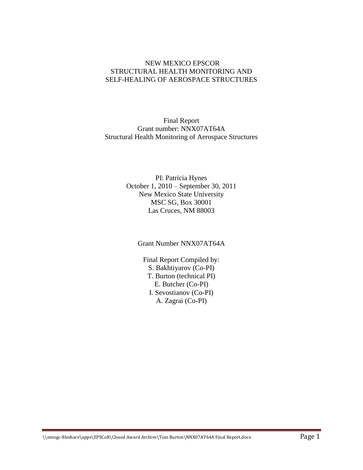#### NEW MEXICO EPSCOR STRUCTURAL HEALTH MONITORING AND SELF-HEALING OF AEROSPACE STRUCTURES

Final Report Grant number: NNX07AT64A Structural Health Monitoring of Aerospace Structures

> PI: Patricia Hynes October 1, 2010 – September 30, 2011 New Mexico State University MSC SG, Box 30001 Las Cruces, NM 88003

Grant Number NNX07AT64A

Final Report Compiled by: S. Bakhtiyarov (Co-PI) T. Burton (technical PI) E. Butcher (Co-PI) I. Sevostianov (Co-PI) A. Zagrai (Co-PI)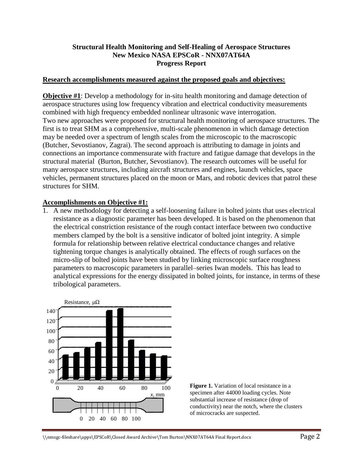#### **Structural Health Monitoring and Self-Healing of Aerospace Structures New Mexico NASA EPSCoR - NNX07AT64A Progress Report**

#### **Research accomplishments measured against the proposed goals and objectives:**

**Objective #1**: Develop a methodology for in-situ health monitoring and damage detection of aerospace structures using low frequency vibration and electrical conductivity measurements combined with high frequency embedded nonlinear ultrasonic wave interrogation. Two new approaches were proposed for structural health monitoring of aerospace structures. The first is to treat SHM as a comprehensive, multi-scale phenomenon in which damage detection may be needed over a spectrum of length scales from the microscopic to the macroscopic (Butcher, Sevostianov, Zagrai). The second approach is attributing to damage in joints and connections an importance commensurate with fracture and fatigue damage that develops in the structural material (Burton, Butcher, Sevostianov). The research outcomes will be useful for many aerospace structures, including aircraft structures and engines, launch vehicles, space vehicles, permanent structures placed on the moon or Mars, and robotic devices that patrol these structures for SHM.

#### **Accomplishments on Objective #1:**

1. A new methodology for detecting a self-loosening failure in bolted joints that uses electrical resistance as a diagnostic parameter has been developed. It is based on the phenomenon that the electrical constriction resistance of the rough contact interface between two conductive members clamped by the bolt is a sensitive indicator of bolted joint integrity. A simple formula for relationship between relative electrical conductance changes and relative tightening torque changes is analytically obtained. The effects of rough surfaces on the micro-slip of bolted joints have been studied by linking microscopic surface roughness parameters to macroscopic parameters in parallel–series Iwan models. This has lead to analytical expressions for the energy dissipated in bolted joints, for instance, in terms of these tribological parameters.



**Figure 1.** Variation of local resistance in a specimen after 44000 loading cycles. Note substantial increase of resistance (drop of conductivity) near the notch, where the clusters of microcracks are suspected.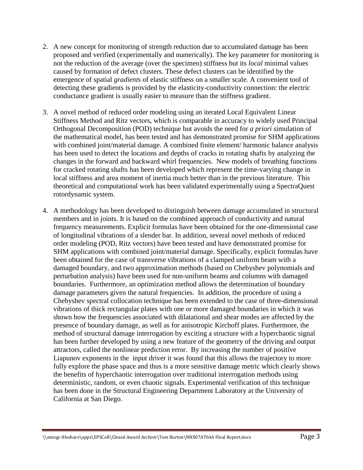- 2. A new concept for monitoring of strength reduction due to accumulated damage has been proposed and verified (experimentally and numerically). The key parameter for monitoring is not the reduction of the average (over the specimen) stiffness but its *local* minimal values caused by formation of defect clusters. These defect clusters can be identified by the emergence of spatial *gradients* of elastic stiffness on a smaller scale. A convenient tool of detecting these gradients is provided by the elasticity-conductivity connection: the electric conductance gradient is usually easier to measure than the stiffness gradient.
- 3. A novel method of reduced order modeling using an iterated Local Equivalent Linear Stiffness Method and Ritz vectors, which is comparable in accuracy to widely used Principal Orthogonal Decomposition (POD) technique but avoids the need for *a priori* simulation of the mathematical model, has been tested and has demonstrated promise for SHM applications with combined joint/material damage. A combined finite element/ harmonic balance analysis has been used to detect the locations and depths of cracks in rotating shafts by analyzing the changes in the forward and backward whirl frequencies. New models of breathing functions for cracked rotating shafts has been developed which represent the time-varying change in local stiffness and area moment of inertia much better than in the previous literature. This theoretical and computational work has been validated experimentally using a SpectraQuest rotordynamic system.
- 4. A methodology has been developed to distinguish between damage accumulated in structural members and in joints. It is based on the combined approach of conductivity and natural frequency measurements. Explicit formulas have been obtained for the one-dimensional case of longitudinal vibrations of a slender bar. In addition, several novel methods of reduced order modeling (POD, Ritz vectors) have been tested and have demonstrated promise for SHM applications with combined joint/material damage. Specifically, explicit formulas have been obtained for the case of transverse vibrations of a clamped uniform beam with a damaged boundary, and two approximation methods (based on Chebyshev polynomials and perturbation analysis) have been used for non-uniform beams and columns with damaged boundaries. Furthermore, an optimization method allows the determination of boundary damage parameters given the natural frequencies. In addition, the procedure of using a Chebyshev spectral collocation technique has been extended to the case of three-dimensional vibrations of thick rectangular plates with one or more damaged boundaries in which it was shown how the frequencies associated with dilatational and shear modes are affected by the presence of boundary damage, as well as for anisotropic Kirchoff plates. Furthermore, the method of structural damage interrogation by exciting a structure with a hyperchaotic signal has been further developed by using a new feature of the geometry of the driving and output attractors, called the nonlinear prediction error. By increasing the number of positive Liapunov exponents in the input driver it was found that this allows the trajectory to more fully explore the phase space and thus is a more sensitive damage metric which clearly shows the benefits of hyperchaotic interrogation over traditional interrogation methods using deterministic, random, or even chaotic signals. Experimental verification of this technique has been done in the Structural Engineering Department Laboratory at the University of California at San Diego.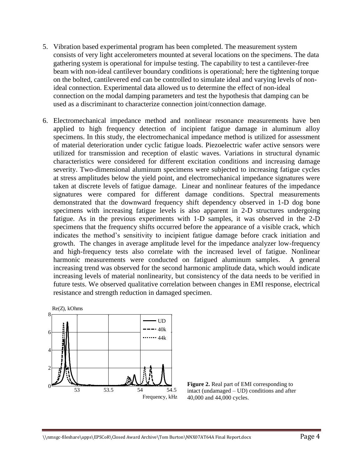- 5. Vibration based experimental program has been completed. The measurement system consists of very light accelerometers mounted at several locations on the specimens. The data gathering system is operational for impulse testing. The capability to test a cantilever-free beam with non-ideal cantilever boundary conditions is operational; here the tightening torque on the bolted, cantilevered end can be controlled to simulate ideal and varying levels of nonideal connection. Experimental data allowed us to determine the effect of non-ideal connection on the modal damping parameters and test the hypothesis that damping can be used as a discriminant to characterize connection joint/connection damage.
- 6. Electromechanical impedance method and nonlinear resonance measurements have ben applied to high frequency detection of incipient fatigue damage in aluminum alloy specimens. In this study, the electromechanical impedance method is utilized for assessment of material deterioration under cyclic fatigue loads. Piezoelectric wafer active sensors were utilized for transmission and reception of elastic waves. Variations in structural dynamic characteristics were considered for different excitation conditions and increasing damage severity. Two-dimensional aluminum specimens were subjected to increasing fatigue cycles at stress amplitudes below the yield point, and electromechanical impedance signatures were taken at discrete levels of fatigue damage. Linear and nonlinear features of the impedance signatures were compared for different damage conditions. Spectral measurements demonstrated that the downward frequency shift dependency observed in 1-D dog bone specimens with increasing fatigue levels is also apparent in 2-D structures undergoing fatigue. As in the previous experiments with 1-D samples, it was observed in the 2-D specimens that the frequency shifts occurred before the appearance of a visible crack, which indicates the method's sensitivity to incipient fatigue damage before crack initiation and growth. The changes in average amplitude level for the impedance analyzer low-frequency and high-frequency tests also correlate with the increased level of fatigue. Nonlinear harmonic measurements were conducted on fatigued aluminum samples. A general increasing trend was observed for the second harmonic amplitude data, which would indicate increasing levels of material nonlinearity, but consistency of the data needs to be verified in future tests. We observed qualitative correlation between changes in EMI response, electrical resistance and strength reduction in damaged specimen.



**Figure 2.** Real part of EMI corresponding to intact (undamaged – UD) conditions and after 40,000 and 44,000 cycles.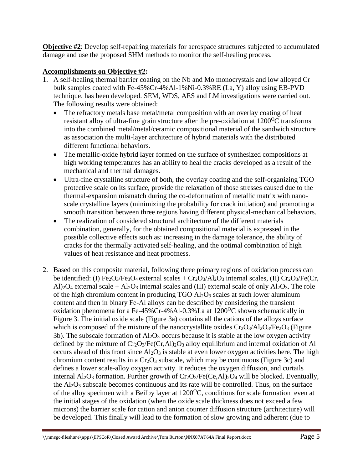**Objective #2**: Develop self-repairing materials for aerospace structures subjected to accumulated damage and use the proposed SHM methods to monitor the self-healing process.

# **Accomplishments on Objective #2:**

- 1. A self-healing thermal barrier coating on the Nb and Mo monocrystals and low alloyed Cr bulk samples coated with Fe-45%Cr-4%Al-1%Ni-0.3%RE (La, Y) alloy using EB-PVD technique. has been developed. SEM, WDS, AES and LM investigations were carried out. The following results were obtained:
	- The refractory metals base metal/metal composition with an overlay coating of heat resistant alloy of ultra-fine grain structure after the pre-oxidation at  $1200^{\circ}$ C transforms into the combined metal/metal/ceramic compositional material of the sandwich structure as association the multi-layer architecture of hybrid materials with the distributed different functional behaviors.
	- The metallic-oxide hybrid layer formed on the surface of synthesized compositions at high working temperatures has an ability to heal the cracks developed as a result of the mechanical and thermal damages.
	- Ultra-fine crystalline structure of both, the overlay coating and the self-organizing TGO protective scale on its surface, provide the relaxation of those stresses caused due to the thermal-expansion mismatch during the co-deformation of metallic matrix with nanoscale crystalline layers (minimizing the probability for crack initiation) and promoting a smooth transition between three regions having different physical-mechanical behaviors.
	- The realization of considered structural architecture of the different materials combination, generally, for the obtained compositional material is expressed in the possible collective effects such as: increasing in the damage tolerance, the ability of cracks for the thermally activated self-healing, and the optimal combination of high values of heat resistance and heat proofness.
- 2. Based on this composite material, following three primary regions of oxidation process can be identified: (I)  $Fe<sub>2</sub>O<sub>3</sub>/Fe<sub>3</sub>O<sub>4</sub>$  external scales +  $Cr<sub>2</sub>O<sub>3</sub>/Al<sub>2</sub>O<sub>3</sub>$  internal scales, (II)  $Cr<sub>2</sub>O<sub>3</sub>/Fe(Cr,$ Al)<sub>2</sub>O<sub>4</sub> external scale + Al<sub>2</sub>O<sub>3</sub> internal scales and (III) external scale of only Al<sub>2</sub>O<sub>3</sub>. The role of the high chromium content in producing  $TGO Al<sub>2</sub>O<sub>3</sub>$  scales at such lower aluminum content and then in binary Fe-Al alloys can be described by considering the transient oxidation phenomena for a Fe-45%Cr-4%Al-0.3%La at  $1200^{\circ}$ C shown schematically in Figure 3. The initial oxide scale (Figure 3a) contains all the cations of the alloys surface which is composed of the mixture of the nanocrystallite oxides  $Cr_2O_3/Al_2O_3/Fe_2O_3$  (Figure 3b). The subscale formation of  $Al_2O_3$  occurs because it is stable at the low oxygen activity defined by the mixture of  $Cr_2O_3/Fe(Cr, Al)_2O_3$  alloy equilibrium and internal oxidation of Al occurs ahead of this front since  $Al_2O_3$  is stable at even lower oxygen activities here. The high chromium content results in a  $Cr_2O_3$  subscale, which may be continuous (Figure 3c) and defines a lower scale-alloy oxygen activity. It reduces the oxygen diffusion, and curtails internal  $Al_2O_3$  formation. Further growth of  $Cr_2O_3/Fe(Ce, Al)_2O_4$  will be blocked. Eventually, the  $Al_2O_3$  subscale becomes continuous and its rate will be controlled. Thus, on the surface of the alloy specimen with a Beilby layer at  $1200^{\circ}$ C, conditions for scale formation even at the initial stages of the oxidation (when the oxide scale thickness does not exceed a few microns) the barrier scale for cation and anion counter diffusion structure (architecture) will be developed. This finally will lead to the formation of slow growing and adherent (due to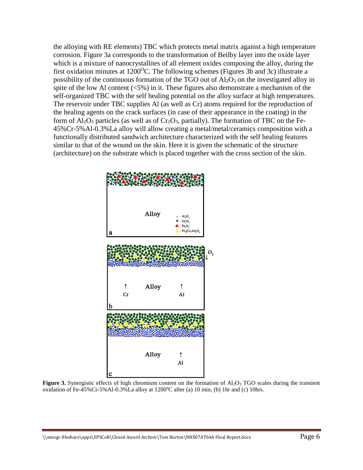the alloying with RE elements) TBC which protects metal matrix against a high temperature corrosion. Figure 3a corresponds to the transformation of Beilby layer into the oxide layer which is a mixture of nanocrystallites of all element oxides composing the alloy, during the first oxidation minutes at  $1200^{\circ}$ C. The following schemes (Figures 3b and 3c) illustrate a possibility of the continuous formation of the TGO out of  $Al_2O_3$  on the investigated alloy in spite of the low Al content  $\langle 5\% \rangle$  in it. These figures also demonstrate a mechanism of the self-organized TBC with the self healing potential on the alloy surface at high temperatures. The reservoir under TBC supplies Al (as well as Cr) atoms required for the reproduction of the healing agents on the crack surfaces (in case of their appearance in the coating) in the form of  $Al_2O_3$  particles (as well as of  $Cr_2O_3$ , partially). The formation of TBC on the Fe-45%Cr-5%Al-0.3%La alloy will allow creating a metal/metal/ceramics composition with a functionally distributed sandwich architecture characterized with the self healing features similar to that of the wound on the skin. Here it is given the schematic of the structure (architecture) on the substrate which is placed together with the cross section of the skin.



**Figure 3.** Synergistic effects of high chromium content on the formation of Al<sub>2</sub>O<sub>3</sub> TGO scales during the transient oxidation of Fe-45%Cr-5%Al-0.3%La alloy at  $1200^{\circ}$ C after (a) 10 min, (b) 1hr and (c) 10hrs.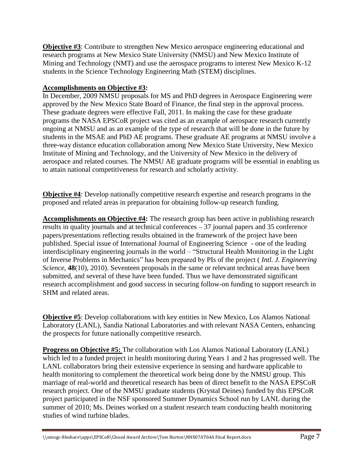**Objective #3**: Contribute to strengthen New Mexico aerospace engineering educational and research programs at New Mexico State University (NMSU) and New Mexico Institute of Mining and Technology (NMT) and use the aerospace programs to interest New Mexico K-12 students in the Science Technology Engineering Math (STEM) disciplines.

# **Accomplishments on Objective #3:**

In December, 2009 NMSU proposals for MS and PhD degrees in Aerospace Engineering were approved by the New Mexico State Board of Finance, the final step in the approval process. These graduate degrees were effective Fall, 2011. In making the case for these graduate programs the NASA EPSCoR project was cited as an example of aerospace research currently ongoing at NMSU and as an example of the type of research that will be done in the future by students in the MSAE and PhD AE programs. These graduate AE programs at NMSU involve a three-way distance education collaboration among New Mexico State University, New Mexico Institute of Mining and Technology, and the University of New Mexico in the delivery of aerospace and related courses. The NMSU AE graduate programs will be essential in enabling us to attain national competitiveness for research and scholarly activity.

**Objective #4**: Develop nationally competitive research expertise and research programs in the proposed and related areas in preparation for obtaining follow-up research funding.

**Accomplishments on Objective #4:** The research group has been active in publishing research results in quality journals and at technical conferences – 37 journal papers and 35 conference papers/presentations reflecting results obtained in the framework of the project have been published. Special issue of International Journal of Engineering Science - one of the leading interdisciplinary engineering journals in the world – "Structural Health Monitoring in the Light of Inverse Problems in Mechanics" has been prepared by PIs of the project ( *Intl. J. Engineering Science*, **48**(10), 2010). Seventeen proposals in the same or relevant technical areas have been submitted, and several of these have been funded. Thus we have demonstrated significant research accomplishment and good success in securing follow-on funding to support research in SHM and related areas.

**Objective #5**: Develop collaborations with key entities in New Mexico, Los Alamos National Laboratory (LANL), Sandia National Laboratories and with relevant NASA Centers, enhancing the prospects for future nationally competitive research.

**Progress on Objective #5:** The collaboration with Los Alamos National Laboratory (LANL) which led to a funded project in health monitoring during Years 1 and 2 has progressed well. The LANL collaborators bring their extensive experience in sensing and hardware applicable to health monitoring to complement the theoretical work being done by the NMSU group. This marriage of real-world and theoretical research has been of direct benefit to the NASA EPSCoR research project. One of the NMSU graduate students (Krystal Deines) funded by this EPSCoR project participated in the NSF sponsored Summer Dynamics School run by LANL during the summer of 2010; Ms. Deines worked on a student research team conducting health monitoring studies of wind turbine blades.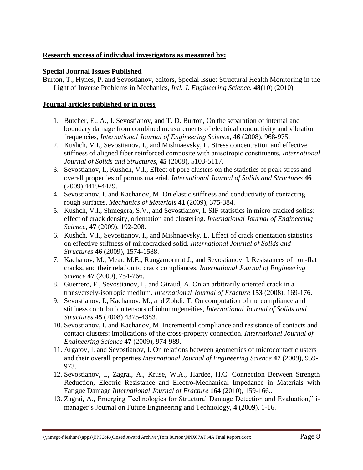# **Research success of individual investigators as measured by:**

### **Special Journal Issues Published**

Burton, T., Hynes, P. and Sevostianov, editors, Special Issue: Structural Health Monitoring in the Light of Inverse Problems in Mechanics, *Intl. J. Engineering Science*, **48**(10) (2010)

#### **Journal articles published or in press**

- 1. Butcher, E.. A., I. Sevostianov, and T. D. Burton, On the separation of internal and boundary damage from combined measurements of electrical conductivity and vibration frequencies, *International Journal of Engineering Science*, **46** (2008), 968-975.
- 2. Kushch, V.I., Sevostianov, I., and Mishnaevsky, L. Stress concentration and effective stiffness of aligned fiber reinforced composite with anisotropic constituents, *International Journal of Solids and Structures,* **45** (2008), 5103-5117.
- 3. Sevostianov, I., Kushch, V.I., Effect of pore clusters on the statistics of peak stress and overall properties of porous material. *International Journal of Solids and Structures* **46** (2009) 4419-4429.
- 4. Sevostianov, I. and Kachanov, M. On elastic stiffness and conductivity of contacting rough surfaces. *Mechanics of Meterials* **41** (2009), 375-384.
- 5. Kushch, V.I., Shmegera, S.V., and Sevostianov, I. SIF statistics in micro cracked solids: effect of crack density, orientation and clustering. *International Journal of Engineering Science*, **47** (2009), 192-208.
- 6. Kushch, V.I., Sevostianov, I., and Mishnaevsky, L. Effect of crack orientation statistics on effective stiffness of mircocracked solid. *International Journal of Solids and Structures* **46** (2009), 1574-1588.
- 7. Kachanov, M., Mear, M.E., Rungamornrat J., and Sevostianov, I. Resistances of non-flat cracks, and their relation to crack compliances, *International Journal of Engineering Science* **47** (2009), 754-766.
- 8. Guerrero, F., Sevostianov, I., and Giraud, A. On an arbitrarily oriented crack in a transversely-isotropic medium. *International Journal of Fracture* **153** (2008), 169-176.
- 9. Sevostianov, I.**,** Kachanov, M., and Zohdi, T. On computation of the compliance and stiffness contribution tensors of inhomogeneities, *International Journal of Solids and Structures* **45** (2008) 4375-4383.
- 10. Sevostianov, I. and Kachanov, M. Incremental compliance and resistance of contacts and contact clusters: implications of the cross-property connection. *International Journal of Engineering Science* **47** (2009), 974-989.
- 11. Argatov, I. and Sevostianov, I. On relations between geometries of microcontact clusters and their overall properties *International Journal of Engineering Science* **47** (2009), 959- 973.
- 12. Sevostianov, I., Zagrai, A., Kruse, W.A., Hardee, H.C. Connection Between Strength Reduction, Electric Resistance and Electro-Mechanical Impedance in Materials with Fatigue Damage *International Journal of Fracture* **164** (2010), 159-166..
- 13. Zagrai, A., Emerging Technologies for Structural Damage Detection and Evaluation," imanager's Journal on Future Engineering and Technology, **4** (2009), 1-16.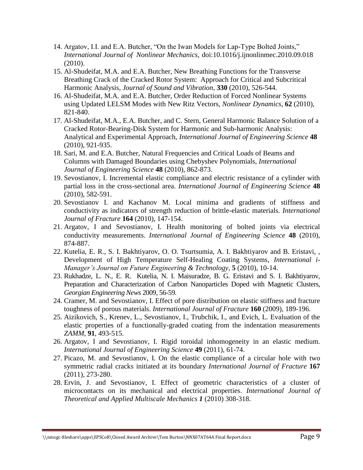- 14. Argatov, I.I. and E.A. Butcher, "On the Iwan Models for Lap-Type Bolted Joints," *International Journal of Nonlinear Mechanics*, [doi:10.1016/j.ijnonlinmec.2010.09.018](http://dx.doi.org/10.1016/j.ijnonlinmec.2010.09.018) (2010).
- 15. Al-Shudeifat, M.A. and E.A. Butcher, New Breathing Functions for the Transverse Breathing Crack of the Cracked Rotor System: Approach for Critical and Subcritical Harmonic Analysis, *Journal of Sound and Vibration*, **330** (2010), 526-544.
- 16. Al-Shudeifat, M.A. and E.A. Butcher, Order Reduction of Forced Nonlinear Systems using Updated LELSM Modes with New Ritz Vectors, *Nonlinear Dynamics*, **62** (2010), 821-840.
- 17. Al-Shudeifat, M*.*A., E.A. Butcher, and C. Stern, General Harmonic Balance Solution of a Cracked Rotor-Bearing-Disk System for Harmonic and Sub-harmonic Analysis: Analytical and Experimental Approach, *International Journal of Engineering Science* **48** (2010), 921-935.
- 18. Sari, M. and E.A. Butcher, Natural Frequencies and Critical Loads of Beams and Columns with Damaged Boundaries using Chebyshev Polynomials, *International Journal of Engineering Science* **48** (2010), 862-873.
- 19. Sevostianov, I. Incremental elastic compliance and electric resistance of a cylinder with partial loss in the cross-sectional area. *International Journal of Engineering Science* **48** (2010), 582-591.
- 20. Sevostianov I. and Kachanov M. Local minima and gradients of stiffness and conductivity as indicators of strength reduction of brittle-elastic materials. *International Journal of Fracture* **164** (2010), 147-154.
- 21. Argatov, I and Sevostianov, I. Health monitoring of bolted joints via electrical conductivity measurements. *International Journal of Engineering Science* **48** (2010), 874-887.
- 22. Kutelia, E. R., S. I. Bakhtiyarov, O. O. Tsurtsumia, A. I. Bakhtiyarov and B. Eristavi, , Development of High Temperature Self-Healing Coating Systems, *International i-Manager's Journal on Future Engineering & Technology,* **5** (2010), 10-14.
- 23. Rukhadze, L. N., E. R. Kutelia, N. I. Maisuradze, B. G. Eristavi and S. I. Bakhtiyarov, Preparation and Characterization of Carbon Nanoparticles Doped with Magnetic Clusters, *Georgian Engineering News* 2009*,* 56-59.
- 24. Cramer, M. and Sevostianov, I. Effect of pore distribution on elastic stiffness and fracture toughness of porous materials. *International Journal of Fracture* **160** (2009), 189-196.
- 25. Aizikovich, S., Krenev, L., Sevostianov, I., Trubchik, I., and Evich, L. Evaluation of the elastic properties of a functionally-graded coating from the indentation measurements *ZAMM*, **91**, 493-515.
- 26. Argatov, I and Sevostianov, I. Rigid toroidal inhomogeneity in an elastic medium. *International Journal of Engineering Science* **49** (2011), 61-74.
- 27. Picazo, M. and Sevostianov, I. On the elastic compliance of a circular hole with two symmetric radial cracks initiated at its boundary *International Journal of Fracture* **167** (2011), 273-280.
- 28. Ervin, J. and Sevostianov, I. Effect of geometric characteristics of a cluster of microcontacts on its mechanical and electrical properties. *International Journal of Theoretical and Applied Multiscale Mechanics 1* (2010) 308-318.

\\nmsgc-fileshare\apps\EPSCoR\Closed Award Archive\Tom Burton\NNX07AT64A Final Report.docx Page 9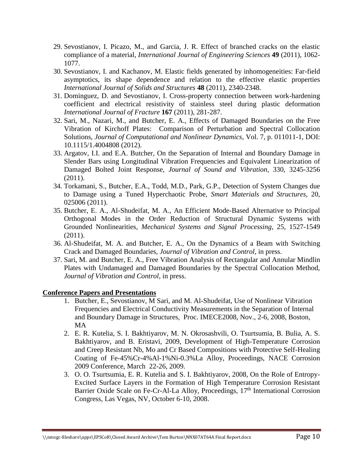- 29. Sevostianov, I. Picazo, M., and Garcia, J. R. Effect of branched cracks on the elastic compliance of a material, *International Journal of Engineering Sciences* **49** (2011), 1062- 1077.
- 30. Sevostianov, I. and Kachanov, M. Elastic fields generated by inhomogeneities: Far-field asymptotics, its shape dependence and relation to the effective elastic properties *International Journal of Solids and Structures* **48** (2011), 2340-2348.
- 31. Dominguez, D. and Sevostianov, I. Cross-property connection between work-hardening coefficient and electrical resistivity of stainless steel during plastic deformation *International Journal of Fracture* **167** (2011), 281-287.
- 32. Sari, M., Nazari, M., and Butcher, E. A., Effects of Damaged Boundaries on the Free Vibration of Kirchoff Plates: Comparison of Perturbation and Spectral Collocation Solutions, *Journal of Computational and Nonlinear Dynamics*, Vol. 7, p. 011011-1, DOI: 10.1115/1.4004808 (2012).
- 33. Argatov, I.I. and E.A. Butcher, On the Separation of Internal and Boundary Damage in Slender Bars using Longitudinal Vibration Frequencies and Equivalent Linearization of Damaged Bolted Joint Response, *Journal of Sound and Vibration*, 330, 3245-3256 (2011).
- 34. Torkamani, S., Butcher, E.A., Todd, M.D., Park, G.P., Detection of System Changes due to Damage using a Tuned Hyperchaotic Probe, *Smart Materials and Structures*, 20, 025006 (2011).
- 35. Butcher, E. A., Al-Shudeifat, M. A., An Efficient Mode-Based Alternative to Principal Orthogonal Modes in the Order Reduction of Structural Dynamic Systems with Grounded Nonlinearities, *Mechanical Systems and Signal Processing*, 25, 1527-1549 (2011).
- 36. Al-Shudeifat, M. A. and Butcher, E. A., On the Dynamics of a Beam with Switching Crack and Damaged Boundaries, *Journal of Vibration and Control*, in press.
- 37. Sari, M. and Butcher, E. A., Free Vibration Analysis of Rectangular and Annular Mindlin Plates with Undamaged and Damaged Boundaries by the Spectral Collocation Method, *Journal of Vibration and Control*, in press.

### **Conference Papers and Presentations**

- 1. Butcher, E., Sevostianov, M Sari, and M. Al-Shudeifat, Use of Nonlinear Vibration Frequencies and Electrical Conductivity Measurements in the Separation of Internal and Boundary Damage in Structures, Proc. IMECE2008, Nov., 2-6, 2008, Boston, MA
- 2. E. R. Kutelia, S. I. Bakhtiyarov, M. N. Okrosashvili, O. Tsurtsumia, B. Bulia, A. S. Bakhtiyarov, and B. Eristavi, 2009, Development of High-Temperature Corrosion and Creep Resistant Nb, Mo and Cr Based Compositions with Protective Self-Healing Coating of Fe-45%Cr-4%Al-1%Ni-0.3%La Alloy, Proceedings, NACE Corrosion 2009 Conference, March 22-26, 2009.
- 3. O. O. Tsurtsumia, E. R. Kutelia and S. I. Bakhtiyarov, 2008, On the Role of Entropy-Excited Surface Layers in the Formation of High Temperature Corrosion Resistant Barrier Oxide Scale on Fe-Cr-Al-La Alloy, Proceedings, 17<sup>th</sup> International Corrosion Congress, Las Vegas, NV, October 6-10, 2008.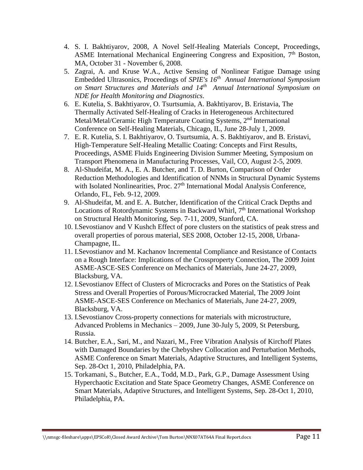- 4. S. I. Bakhtiyarov, 2008, A Novel Self-Healing Materials Concept, Proceedings, ASME International Mechanical Engineering Congress and Exposition, 7<sup>th</sup> Boston, MA, October 31 - November 6, 2008.
- 5. Zagrai, A. and Kruse W.A., Active Sensing of Nonlinear Fatigue Damage using Embedded Ultrasonics, Proceedings of *SPIE's 16th Annual International Symposium on Smart Structures and Materials and 14th Annual International Symposium on NDE for Health Monitoring and Diagnostics*.
- 6. E. Kutelia, S. Bakhtiyarov, O. Tsurtsumia, A. Bakhtiyarov, B. Eristavia, The Thermally Activated Self-Healing of Cracks in Heterogeneous Architectured Metal/Metal/Ceramic High Temperature Coating Systems, 2<sup>nd</sup> International Conference on Self-Healing Materials, Chicago, IL, June 28-July 1, 2009.
- 7. E. R. Kutelia, S. I. Bakhtiyarov, O. Tsurtsumia, A. S. Bakhtiyarov, and B. Eristavi, High-Temperature Self-Healing Metallic Coating: Concepts and First Results, Proceedings, ASME Fluids Engineering Division Summer Meeting, Symposium on Transport Phenomena in Manufacturing Processes, Vail, CO, August 2-5, 2009.
- 8. Al-Shudeifat, M. A., E. A. Butcher, and T. D. Burton, Comparison of Order Reduction Methodologies and Identification of NNMs in Structural Dynamic Systems with Isolated Nonlinearities, Proc.  $27<sup>th</sup>$  International Modal Analysis Conference, Orlando, FL, Feb. 9-12, 2009.
- 9. Al-Shudeifat, M. and E. A. Butcher, Identification of the Critical Crack Depths and Locations of Rotordynamic Systems in Backward Whirl, 7<sup>th</sup> International Workshop on Structural Health Monitoring, Sep. 7-11, 2009, Stanford, CA.
- 10. I.Sevostianov and V Kushch Effect of pore clusters on the statistics of peak stress and overall properties of porous material, SES 2008, October 12-15, 2008, Urbana-Champagne, IL.
- 11. I.Sevostianov and M. Kachanov Incremental Compliance and Resistance of Contacts on a Rough Interface: Implications of the Crossproperty Connection, The 2009 Joint ASME-ASCE-SES Conference on Mechanics of Materials, June 24-27, 2009, Blacksburg, VA.
- 12. I.Sevostianov Effect of Clusters of Microcracks and Pores on the Statistics of Peak Stress and Overall Properties of Porous/Microcracked Material, The 2009 Joint ASME-ASCE-SES Conference on Mechanics of Materials, June 24-27, 2009, Blacksburg, VA.
- 13. I.Sevostianov Cross-property connections for materials with microstructure, Advanced Problems in Mechanics – 2009, June 30-July 5, 2009, St Petersburg, Russia.
- 14. Butcher, E.A., Sari, M., and Nazari, M., Free Vibration Analysis of Kirchoff Plates with Damaged Boundaries by the Chebyshev Collocation and Perturbation Methods, ASME Conference on Smart Materials, Adaptive Structures, and Intelligent Systems, Sep. 28-Oct 1, 2010, Philadelphia, PA.
- 15. Torkamani, S., Butcher, E.A., Todd, M.D., Park, G.P., Damage Assessment Using Hyperchaotic Excitation and State Space Geometry Changes, ASME Conference on Smart Materials, Adaptive Structures, and Intelligent Systems, Sep. 28-Oct 1, 2010, Philadelphia, PA.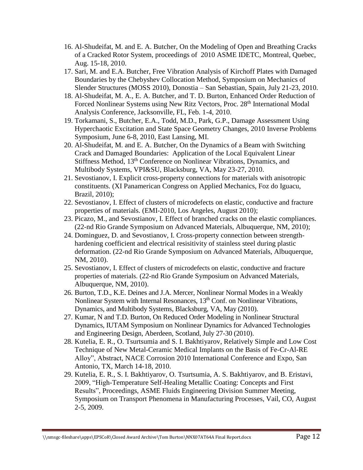- 16. Al-Shudeifat, M. and E. A. Butcher, On the Modeling of Open and Breathing Cracks of a Cracked Rotor System, proceedings of 2010 ASME IDETC, Montreal, Quebec, Aug. 15-18, 2010.
- 17. Sari, M. and E.A. Butcher, Free Vibration Analysis of Kirchoff Plates with Damaged Boundaries by the Chebyshev Collocation Method, Symposium on Mechanics of Slender Structures (MOSS 2010), Donostia – San Sebastian, Spain, July 21-23, 2010.
- 18. Al-Shudeifat, M. A., E. A. Butcher, and T. D. Burton, Enhanced Order Reduction of Forced Nonlinear Systems using New Ritz Vectors, Proc. 28<sup>th</sup> International Modal Analysis Conference, Jacksonville, FL, Feb. 1-4, 2010.
- 19. Torkamani, S., Butcher, E.A., Todd, M.D., Park, G.P., Damage Assessment Using Hyperchaotic Excitation and State Space Geometry Changes, 2010 Inverse Problems Symposium, June 6-8, 2010, East Lansing, MI.
- 20. Al-Shudeifat, M. and E. A. Butcher, On the Dynamics of a Beam with Switching Crack and Damaged Boundaries: Application of the Local Equivalent Linear Stiffness Method, 13<sup>th</sup> Conference on Nonlinear Vibrations, Dynamics, and Multibody Systems, VPI&SU, Blacksburg, VA, May 23-27, 2010.
- 21. Sevostianov, I. Explicit cross-property connections for materials with anisotropic constituents. (XI Panamerican Congress on Applied Mechanics, Foz do Iguacu, Brazil, 2010);
- 22. Sevostianov, I. Effect of clusters of microdefects on elastic, conductive and fracture properties of materials. (EMI-2010, Los Angeles, August 2010);
- 23. Picazo, M., and Sevostianov, I. Effect of branched cracks on the elastic compliances. (22-nd Rio Grande Symposium on Advanced Materials, Albuquerque, NM, 2010);
- 24. Dominguez, D. and Sevostianov, I. Cross-property connection between strengthhardening coefficient and electrical resisitivity of stainless steel during plastic deformation. (22-nd Rio Grande Symposium on Advanced Materials, Albuquerque, NM, 2010).
- 25. Sevostianov, I. Effect of clusters of microdefects on elastic, conductive and fracture properties of materials. (22-nd Rio Grande Symposium on Advanced Materials, Albuquerque, NM, 2010).
- 26. Burton, T.D., K.E. Deines and J.A. Mercer, Nonlinear Normal Modes in a Weakly Nonlinear System with Internal Resonances,  $13<sup>th</sup>$  Conf. on Nonlinear Vibrations, Dynamics, and Multibody Systems, Blacksburg, VA, May (2010).
- 27. Kumar, N and T.D. Burton, On Reduced Order Modeling in Nonlinear Structural Dynamics, IUTAM Symposium on Nonlinear Dynamics for Advanced Technologies and Engineering Design, Aberdeen, Scotland, July 27-30 (2010).
- 28. Kutelia, E. R., O. Tsurtsumia and S. I. Bakhtiyarov, Relatively Simple and Low Cost Technique of New Metal-Ceramic Medical Implants on the Basis of Fe-Cr-Al-RE Alloy", Abstract, NACE Corrosion 2010 International Conference and Expo, San Antonio, TX, March 14-18, 2010.
- 29. Kutelia, E. R., S. I. Bakhtiyarov, O. Tsurtsumia, A. S. Bakhtiyarov, and B. Eristavi, 2009, "High-Temperature Self-Healing Metallic Coating: Concepts and First Results", Proceedings, ASME Fluids Engineering Division Summer Meeting, Symposium on Transport Phenomena in Manufacturing Processes, Vail, CO, August 2-5, 2009.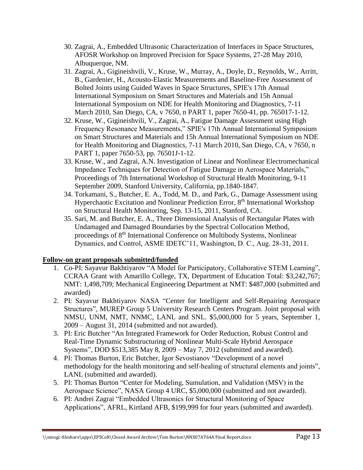- 30. Zagrai, A., Embedded Ultrasonic Characterization of Interfaces in Space Structures, AFOSR Workshop on Improved Precision for Space Systems, 27-28 May 2010, Albuquerque, NM.
- 31. Zagrai, A., Gigineishvili, V., Kruse, W., Murray, A., Doyle, D., Reynolds, W., Arritt, B., Gardenier, H., Acousto-Elastic Measurements and Baseline-Free Assessment of Bolted Joints using Guided Waves in Space Structures, SPIE's 17th Annual International Symposium on Smart Structures and Materials and 15h Annual International Symposium on NDE for Health Monitoring and Diagnostics, 7-11 March 2010, San Diego, CA, v 7650, n PART 1, paper 7650-41, pp. 765017-1-12.
- 32. Kruse, W., Gigineishvili, V., Zagrai, A., Fatigue Damage Assessment using High Frequency Resonance Measurements," SPIE's 17th Annual International Symposium on Smart Structures and Materials and 15h Annual International Symposium on NDE for Health Monitoring and Diagnostics, 7-11 March 2010, San Diego, CA, v 7650, n PART 1, paper 7650-53, pp. 76501J-1-12.
- 33. Kruse, W., and Zagrai, A.N. Investigation of Linear and Nonlinear Electromechanical Impedance Techniques for Detection of Fatigue Damage in Aerospace Materials," Proceedings of 7th International Workshop of Structural Health Monitoring, 9-11 September 2009, Stanford University, California, pp.1840-1847.
- 34. Torkamani, S., Butcher, E. A., Todd, M. D., and Park, G., Damage Assessment using Hyperchaotic Excitation and Nonlinear Prediction Error, 8<sup>th</sup> International Workshop on Structural Health Monitoring, Sep. 13-15, 2011, Stanford, CA.
- 35. Sari, M. and Butcher, E. A., Three Dimensional Analysis of Rectangular Plates with Undamaged and Damaged Boundaries by the Spectral Collocation Method, proceedings of 8<sup>th</sup> International Conference on Multibody Systems, Nonlinear Dynamics, and Control, ASME IDETC'11, Washington, D. C., Aug. 28-31, 2011.

# **Follow-on grant proposals submitted/funded**

- 1. Co-PI: Sayavur Bakhtiyarov "A Model for Participatory, Collaborative STEM Learning", CCRAA Grant with Amarillo College, TX, Department of Education Total: \$3,242,767; NMT: 1,498,709; Mechanical Engineering Department at NMT: \$487,000 (submitted and awarded)
- 2. PI: Sayavur Bakhtiyarov NASA "Center for Intelligent and Self-Repairing Aerospace Structures", MUREP Group 5 University Research Centers Program. Joint proposal with NMSU, UNM, NMT, NNMC, LANL and SNL. \$5,000,000 for 5 years, September 1, 2009 – August 31, 2014 (submitted and not awarded).
- 3. PI: Eric Butcher "An Integrated Framework for Order Reduction, Robust Control and Real-Time Dynamic Substructuring of Nonlinear Multi-Scale Hybrid Aerospace Systems", DOD \$513,385 May 8, 2009 – May 7, 2012 (submitted and awarded).
- 4. PI: Thomas Burton, Eric Butcher, Igor Sevostianov "Development of a novel methodology for the health monitoring and self-healing of structural elements and joints", LANL (submitted and awarded).
- 5. PI: Thomas Burton "Center for Modeling, Sumulation, and Validation (MSV) in the Aerospace Science", NASA Group 4 URC, \$5,000,000 (submitted and not awarded).
- 6. PI: Andrei Zagrai "Embedded Ultrasonics for Structural Monitoring of Space Applications", AFRL, Kirtland AFB, \$199,999 for four years (submitted and awarded).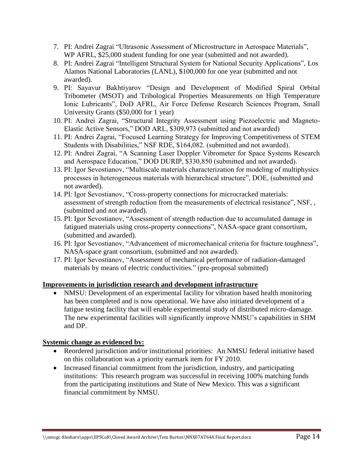- 7. PI: Andrei Zagrai "Ultrasonic Assessment of Microstructure in Aerospace Materials", WP AFRL, \$25,000 student funding for one year (submitted and not awarded).
- 8. PI: Andrei Zagrai "Intelligent Structural System for National Security Applications", Los Alamos National Laboratories (LANL), \$100,000 for one year (submitted and not awarded).
- 9. PI: Sayavur Bakhtiyarov "Design and Development of Modified Spiral Orbital Tribometer (MSOT) and Tribological Properties Measurements on High Temperature Ionic Lubricants", DoD AFRL, Air Force Defense Research Sciences Program, Small University Grants (\$50,000 for 1 year)
- 10. PI: Andrei Zagrai, "Structural Integrity Assessment using Piezoelectric and Magneto-Elastic Active Sensors," DOD ARL, \$309,973 (submitted and not awarded)
- 11. PI: Andrei Zagrai, "Focused Learning Strategy for Improving Competitiveness of STEM Students with Disabilities," NSF RDE, \$164,082. (submitted and not awarded).
- 12. PI: Andrei Zagrai, "A Scanning Laser Doppler Vibrometer for Space Systems Research and Aerospace Education," DOD DURIP, \$330,850 (submitted and not awarded).
- 13. PI: Igor Sevostianov, "Multiscale materials characterization for modeling of multiphysics processes in heterogeneous materials with hierarchical structure", DOE, (submitted and not awarded).
- 14. PI: Igor Sevostianov, "Cross-property connections for microcracked materials: assessment of strength reduction from the measurements of electrical resistance", NSF, , (submitted and not awarded).
- 15. PI: Igor Sevostianov, "Assessment of strength reduction due to accumulated damage in fatigued materials using cross-property connections", NASA-space grant consortium, (submitted and awarded).
- 16. PI: Igor Sevostianov, "Advancement of micromechanical criteria for fracture toughness", NASA-space grant consortium, (submitted and not awarded).
- 17. PI: Igor Sevostianov, "Assessment of mechanical performance of radiation-damaged materials by means of electric conductivities." (pre-proposal submitted)

# **Improvements in jurisdiction research and development infrastructure**

 NMSU: Development of an experimental facility for vibration based health monitoring has been completed and is now operational. We have also initiated development of a fatigue testing facility that will enable experimental study of distributed micro-damage. The new experimental facilities will significantly improve NMSU's capabilities in SHM and DP.

### **Systemic change as evidenced by:**

- Reordered jurisdiction and/or institutional priorities: An NMSU federal initiative based on this collaboration was a priority earmark item for FY 2010.
- Increased financial commitment from the jurisdiction, industry, and participating institutions: This research program was successful in receiving 100% matching funds from the participating institutions and State of New Mexico. This was a significant financial commitment by NMSU.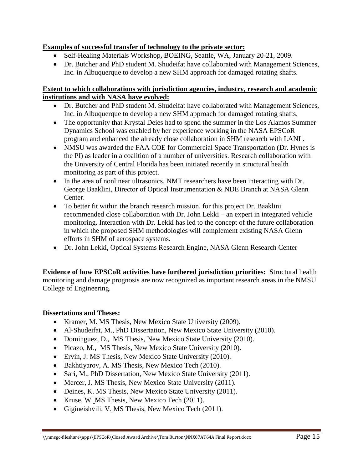## **Examples of successful transfer of technology to the private sector:**

- Self-Healing Materials Workshop**,** BOEING, Seattle, WA, January 20-21, 2009.
- Dr. Butcher and PhD student M. Shudeifat have collaborated with Management Sciences, Inc. in Albuquerque to develop a new SHM approach for damaged rotating shafts.

### **Extent to which collaborations with jurisdiction agencies, industry, research and academic institutions and with NASA have evolved:**

- Dr. Butcher and PhD student M. Shudeifat have collaborated with Management Sciences, Inc. in Albuquerque to develop a new SHM approach for damaged rotating shafts.
- The opportunity that Krystal Deies had to spend the summer in the Los Alamos Summer Dynamics School was enabled by her experience working in the NASA EPSCoR program and enhanced the already close collaboration in SHM research with LANL.
- NMSU was awarded the FAA COE for Commercial Space Transportation (Dr. Hynes is the PI) as leader in a coalition of a number of universities. Research collaboration with the University of Central Florida has been initiated recently in structural health monitoring as part of this project.
- In the area of nonlinear ultrasonics, NMT researchers have been interacting with Dr. George Baaklini, Director of Optical Instrumentation & NDE Branch at NASA Glenn Center.
- To better fit within the branch research mission, for this project Dr. Baaklini recommended close collaboration with Dr. John Lekki – an expert in integrated vehicle monitoring. Interaction with Dr. Lekki has led to the concept of the future collaboration in which the proposed SHM methodologies will complement existing NASA Glenn efforts in SHM of aerospace systems.
- Dr. John Lekki, Optical Systems Research Engine, NASA Glenn Research Center

**Evidence of how EPSCoR activities have furthered jurisdiction priorities:** Structural health monitoring and damage prognosis are now recognized as important research areas in the NMSU College of Engineering.

### **Dissertations and Theses:**

- Kramer, M. MS Thesis, New Mexico State University (2009).
- Al-Shudeifat, M., PhD Dissertation, New Mexico State University (2010).
- Dominguez, D., MS Thesis, New Mexico State University (2010).
- Picazo, M., MS Thesis, New Mexico State University (2010).
- Ervin, J. MS Thesis, New Mexico State University (2010).
- Bakhtiyarov, A. MS Thesis, New Mexico Tech (2010).
- Sari, M., PhD Dissertation, New Mexico State University (2011).
- Mercer, J. MS Thesis, New Mexico State University (2011).
- Deines, K. MS Thesis, New Mexico State University (2011).
- Kruse, W. MS Thesis, New Mexico Tech (2011).
- Gigineishvili, V. MS Thesis, New Mexico Tech (2011).